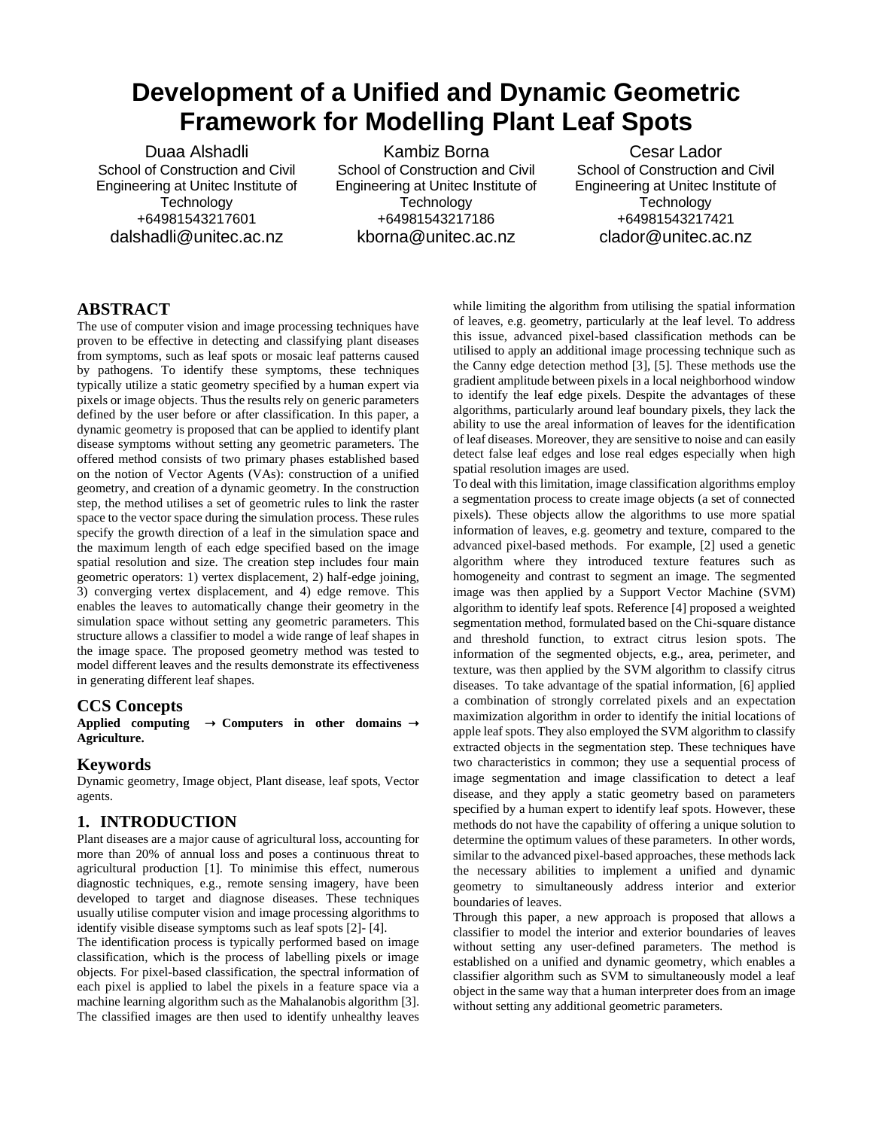# **Development of a Unified and Dynamic Geometric Framework for Modelling Plant Leaf Spots**

Duaa Alshadli School of Construction and Civil Engineering at Unitec Institute of **Technology** +64981543217601 dalshadli@unitec.ac.nz

Kambiz Borna School of Construction and Civil Engineering at Unitec Institute of **Technology** +64981543217186 kborna@unitec.ac.nz

Cesar Lador School of Construction and Civil Engineering at Unitec Institute of **Technology** +64981543217421 clador@unitec.ac.nz

# **ABSTRACT**

The use of computer vision and image processing techniques have proven to be effective in detecting and classifying plant diseases from symptoms, such as leaf spots or mosaic leaf patterns caused by pathogens. To identify these symptoms, these techniques typically utilize a static geometry specified by a human expert via pixels or image objects. Thus the results rely on generic parameters defined by the user before or after classification. In this paper, a dynamic geometry is proposed that can be applied to identify plant disease symptoms without setting any geometric parameters. The offered method consists of two primary phases established based on the notion of Vector Agents (VAs): construction of a unified geometry, and creation of a dynamic geometry. In the construction step, the method utilises a set of geometric rules to link the raster space to the vector space during the simulation process. These rules specify the growth direction of a leaf in the simulation space and the maximum length of each edge specified based on the image spatial resolution and size. The creation step includes four main geometric operators: 1) vertex displacement, 2) half-edge joining, 3) converging vertex displacement, and 4) edge remove. This enables the leaves to automatically change their geometry in the simulation space without setting any geometric parameters. This structure allows a classifier to model a wide range of leaf shapes in the image space. The proposed geometry method was tested to model different leaves and the results demonstrate its effectiveness in generating different leaf shapes.

#### **CCS Concepts**

Applied computing  $\rightarrow$  Computers in other domains  $\rightarrow$ **Agriculture.**

#### **Keywords**

Dynamic geometry, Image object, Plant disease, leaf spots, Vector agents.

#### **1. INTRODUCTION**

Plant diseases are a major cause of agricultural loss, accounting for more than 20% of annual loss and poses a continuous threat to agricultural production [1]. To minimise this effect, numerous diagnostic techniques, e.g., remote sensing imagery, have been developed to target and diagnose diseases. These techniques usually utilise computer vision and image processing algorithms to identify visible disease symptoms such as leaf spots [2]- [4].

The identification process is typically performed based on image classification, which is the process of labelling pixels or image objects. For pixel-based classification, the spectral information of each pixel is applied to label the pixels in a feature space via a machine learning algorithm such as the Mahalanobis algorithm [3]. The classified images are then used to identify unhealthy leaves

while limiting the algorithm from utilising the spatial information of leaves, e.g. geometry, particularly at the leaf level. To address this issue, advanced pixel-based classification methods can be utilised to apply an additional image processing technique such as the Canny edge detection method [3], [5]. These methods use the gradient amplitude between pixels in a local neighborhood window to identify the leaf edge pixels. Despite the advantages of these algorithms, particularly around leaf boundary pixels, they lack the ability to use the areal information of leaves for the identification of leaf diseases. Moreover, they are sensitive to noise and can easily detect false leaf edges and lose real edges especially when high spatial resolution images are used.

To deal with this limitation, image classification algorithms employ a segmentation process to create image objects (a set of connected pixels). These objects allow the algorithms to use more spatial information of leaves, e.g. geometry and texture, compared to the advanced pixel-based methods. For example, [2] used a genetic algorithm where they introduced texture features such as homogeneity and contrast to segment an image. The segmented image was then applied by a Support Vector Machine (SVM) algorithm to identify leaf spots. Reference [4] proposed a weighted segmentation method, formulated based on the Chi-square distance and threshold function, to extract citrus lesion spots. The information of the segmented objects, e.g., area, perimeter, and texture, was then applied by the SVM algorithm to classify citrus diseases. To take advantage of the spatial information, [6] applied a combination of strongly correlated pixels and an expectation maximization algorithm in order to identify the initial locations of apple leaf spots. They also employed the SVM algorithm to classify extracted objects in the segmentation step. These techniques have two characteristics in common; they use a sequential process of image segmentation and image classification to detect a leaf disease, and they apply a static geometry based on parameters specified by a human expert to identify leaf spots. However, these methods do not have the capability of offering a unique solution to determine the optimum values of these parameters. In other words, similar to the advanced pixel-based approaches, these methods lack the necessary abilities to implement a unified and dynamic geometry to simultaneously address interior and exterior boundaries of leaves.

Through this paper, a new approach is proposed that allows a classifier to model the interior and exterior boundaries of leaves without setting any user-defined parameters. The method is established on a unified and dynamic geometry, which enables a classifier algorithm such as SVM to simultaneously model a leaf object in the same way that a human interpreter does from an image without setting any additional geometric parameters.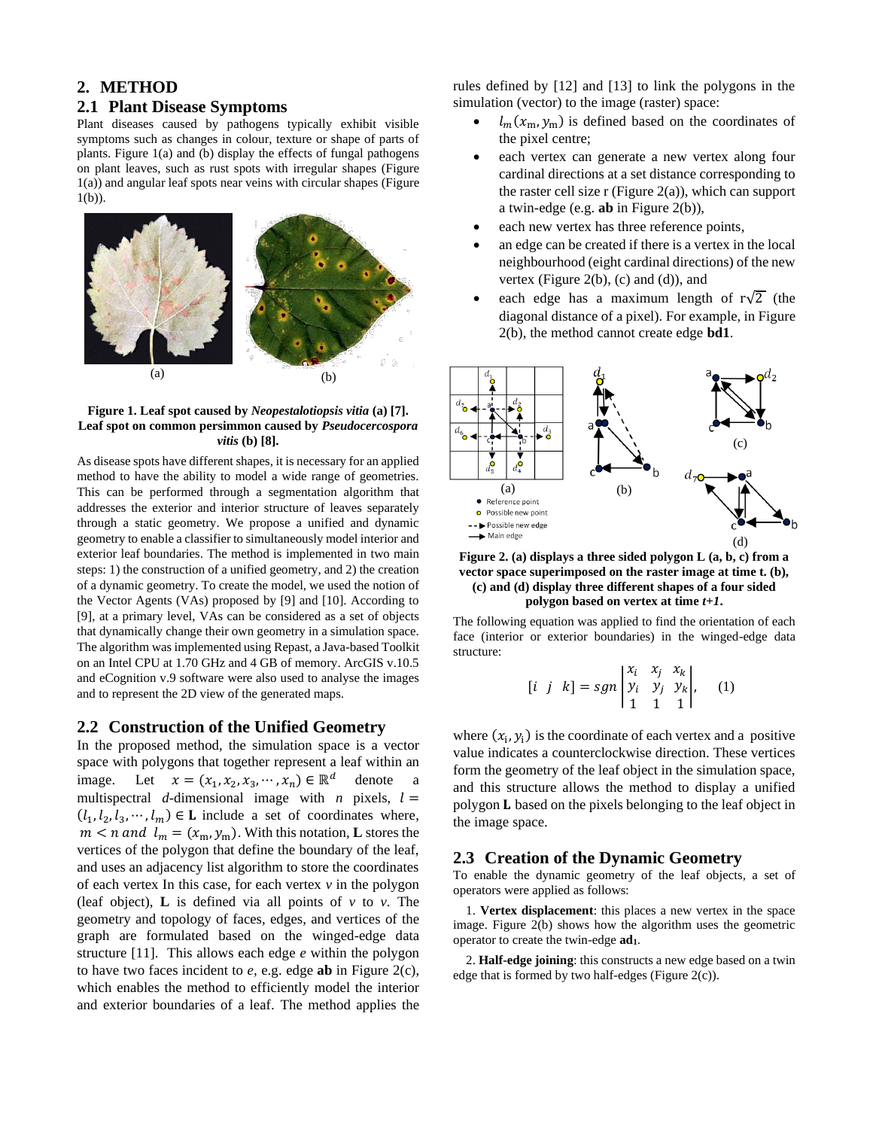# **2. METHOD**

#### **2.1 Plant Disease Symptoms**

Plant diseases caused by pathogens typically exhibit visible symptoms such as changes in colour, texture or shape of parts of plants. Figure 1(a) and (b) display the effects of fungal pathogens on plant leaves, such as rust spots with irregular shapes (Figure 1(a)) and angular leaf spots near veins with circular shapes (Figure 1(b)).



**Figure 1. Leaf spot caused by** *Neopestalotiopsis vitia* **(a) [7]. Leaf spot on common persimmon caused by** *Pseudocercospora vitis* **(b) [8].**

As disease spots have different shapes, it is necessary for an applied method to have the ability to model a wide range of geometries. This can be performed through a segmentation algorithm that addresses the exterior and interior structure of leaves separately through a static geometry. We propose a unified and dynamic geometry to enable a classifier to simultaneously model interior and exterior leaf boundaries. The method is implemented in two main steps: 1) the construction of a unified geometry, and 2) the creation of a dynamic geometry. To create the model, we used the notion of the Vector Agents (VAs) proposed by [9] and [10]. According to [9], at a primary level, VAs can be considered as a set of objects that dynamically change their own geometry in a simulation space. The algorithm was implemented using Repast, a Java-based Toolkit on an Intel CPU at 1.70 GHz and 4 GB of memory. ArcGIS v.10.5 and eCognition v.9 software were also used to analyse the images and to represent the 2D view of the generated maps.

#### **2.2 Construction of the Unified Geometry**

In the proposed method, the simulation space is a vector space with polygons that together represent a leaf within an image. Let  $x = (x_1, x_2, x_3, \dots, x_n) \in \mathbb{R}^d$  denote a multispectral *d*-dimensional image with *n* pixels,  $l =$  $(l_1, l_2, l_3, \dots, l_m) \in L$  include a set of coordinates where,  $m < n$  and  $l_m = (x_m, y_m)$ . With this notation, **L** stores the vertices of the polygon that define the boundary of the leaf, and uses an adjacency list algorithm to store the coordinates of each vertex In this case, for each vertex *v* in the polygon (leaf object), **L** is defined via all points of  $v$  to  $v$ . The geometry and topology of faces, edges, and vertices of the graph are formulated based on the winged-edge data structure [11]. This allows each edge *e* within the polygon to have two faces incident to *e,* e.g. edge **ab** in Figure 2(c), which enables the method to efficiently model the interior and exterior boundaries of a leaf. The method applies the

rules defined by [12] and [13] to link the polygons in the simulation (vector) to the image (raster) space:

- $l_m(x_m, y_m)$  is defined based on the coordinates of the pixel centre;
- each vertex can generate a new vertex along four cardinal directions at a set distance corresponding to the raster cell size  $r$  (Figure 2(a)), which can support a twin-edge (e.g. **ab** in Figure 2(b)),
- each new vertex has three reference points,
- an edge can be created if there is a vertex in the local neighbourhood (eight cardinal directions) of the new vertex (Figure 2(b),  $(c)$  and  $(d)$ ), and
- each edge has a maximum length of  $r\sqrt{2}$  (the diagonal distance of a pixel). For example, in Figure 2(b), the method cannot create edge **bd1**.



**Figure 2. (a) displays a three sided polygon L (a, b, c) from a vector space superimposed on the raster image at time t. (b), (c) and (d) display three different shapes of a four sided polygon based on vertex at time** *t+1***.** 

The following equation was applied to find the orientation of each face (interior or exterior boundaries) in the winged-edge data structure:

$$
\begin{bmatrix} i & j & k \end{bmatrix} = sgn \begin{bmatrix} x_i & x_j & x_k \\ y_i & y_j & y_k \\ 1 & 1 & 1 \end{bmatrix}, \quad (1)
$$

where  $(x_i, y_i)$  is the coordinate of each vertex and a positive value indicates a counterclockwise direction. These vertices form the geometry of the leaf object in the simulation space, and this structure allows the method to display a unified polygon **L** based on the pixels belonging to the leaf object in the image space.

#### **2.3 Creation of the Dynamic Geometry**

To enable the dynamic geometry of the leaf objects, a set of operators were applied as follows:

1. **Vertex displacement**: this places a new vertex in the space image. Figure 2(b) shows how the algorithm uses the geometric operator to create the twin-edge **ad1**.

2. **Half-edge joining**: this constructs a new edge based on a twin edge that is formed by two half-edges (Figure  $2(c)$ ).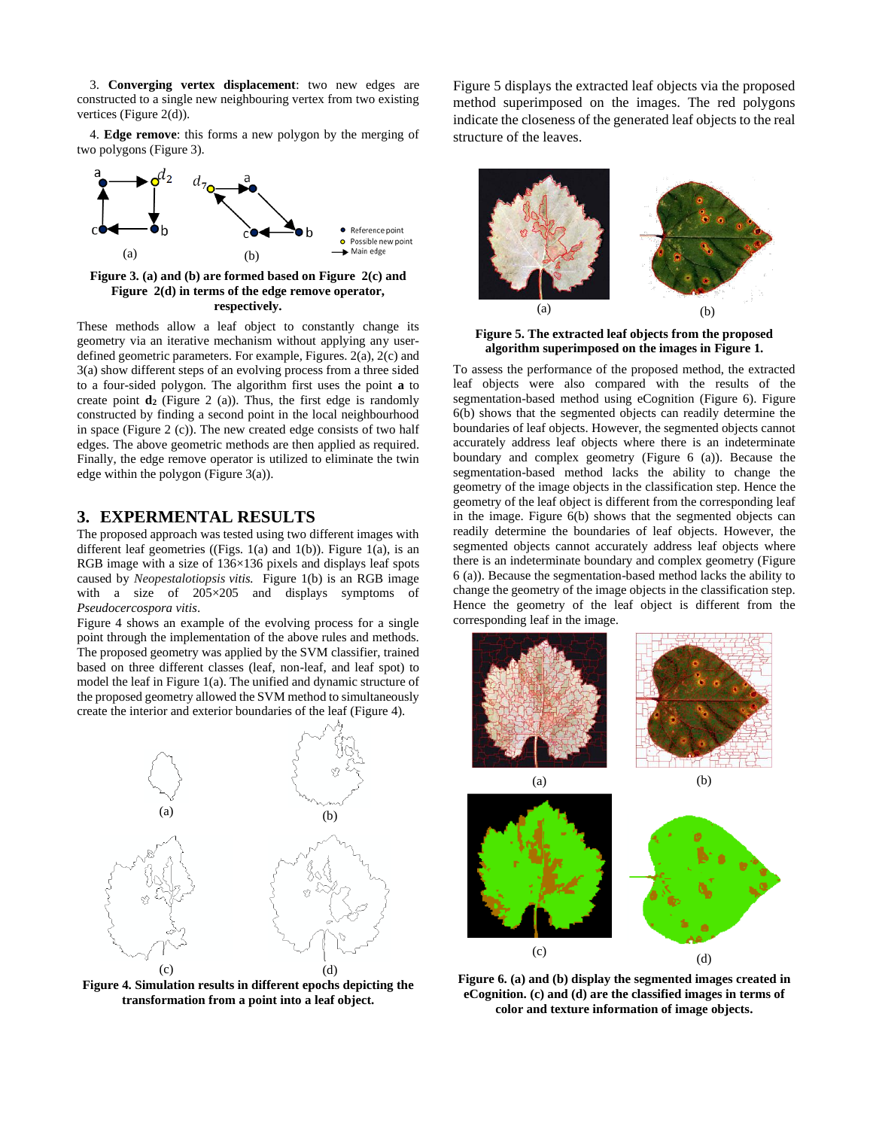3. **Converging vertex displacement**: two new edges are constructed to a single new neighbouring vertex from two existing vertices (Figure 2(d)).

4. **Edge remove**: this forms a new polygon by the merging of two polygons (Figure 3).



**Figure 3. (a) and (b) are formed based on Figure 2(c) and Figure 2(d) in terms of the edge remove operator, respectively.**

These methods allow a leaf object to constantly change its geometry via an iterative mechanism without applying any userdefined geometric parameters. For example, Figures. 2(a), 2(c) and 3(a) show different steps of an evolving process from a three sided to a four-sided polygon. The algorithm first uses the point **a** to create point **d<sup>2</sup>** (Figure 2 (a)). Thus, the first edge is randomly constructed by finding a second point in the local neighbourhood in space (Figure 2 (c)). The new created edge consists of two half edges. The above geometric methods are then applied as required. Finally, the edge remove operator is utilized to eliminate the twin edge within the polygon (Figure 3(a)).

# **3. EXPERMENTAL RESULTS**

The proposed approach was tested using two different images with different leaf geometries ((Figs. 1(a) and 1(b)). Figure 1(a), is an RGB image with a size of 136×136 pixels and displays leaf spots caused by *Neopestalotiopsis vitis.* Figure 1(b) is an RGB image with a size of 205×205 and displays symptoms of *Pseudocercospora vitis*.

Figure 4 shows an example of the evolving process for a single point through the implementation of the above rules and methods. The proposed geometry was applied by the SVM classifier, trained based on three different classes (leaf, non-leaf, and leaf spot) to model the leaf in Figure 1(a). The unified and dynamic structure of the proposed geometry allowed the SVM method to simultaneously create the interior and exterior boundaries of the leaf (Figure 4).



**Figure 4. Simulation results in different epochs depicting the transformation from a point into a leaf object.**

Figure 5 displays the extracted leaf objects via the proposed method superimposed on the images. The red polygons indicate the closeness of the generated leaf objects to the real structure of the leaves.



**Figure 5. The extracted leaf objects from the proposed algorithm superimposed on the images in Figure 1.**

To assess the performance of the proposed method, the extracted leaf objects were also compared with the results of the segmentation-based method using eCognition (Figure 6). Figure 6(b) shows that the segmented objects can readily determine the boundaries of leaf objects. However, the segmented objects cannot accurately address leaf objects where there is an indeterminate boundary and complex geometry (Figure 6 (a)). Because the segmentation-based method lacks the ability to change the geometry of the image objects in the classification step. Hence the geometry of the leaf object is different from the corresponding leaf in the image. Figure 6(b) shows that the segmented objects can readily determine the boundaries of leaf objects. However, the segmented objects cannot accurately address leaf objects where there is an indeterminate boundary and complex geometry (Figure 6 (a)). Because the segmentation-based method lacks the ability to change the geometry of the image objects in the classification step. Hence the geometry of the leaf object is different from the corresponding leaf in the image.



**Figure 6. (a) and (b) display the segmented images created in eCognition. (c) and (d) are the classified images in terms of color and texture information of image objects.**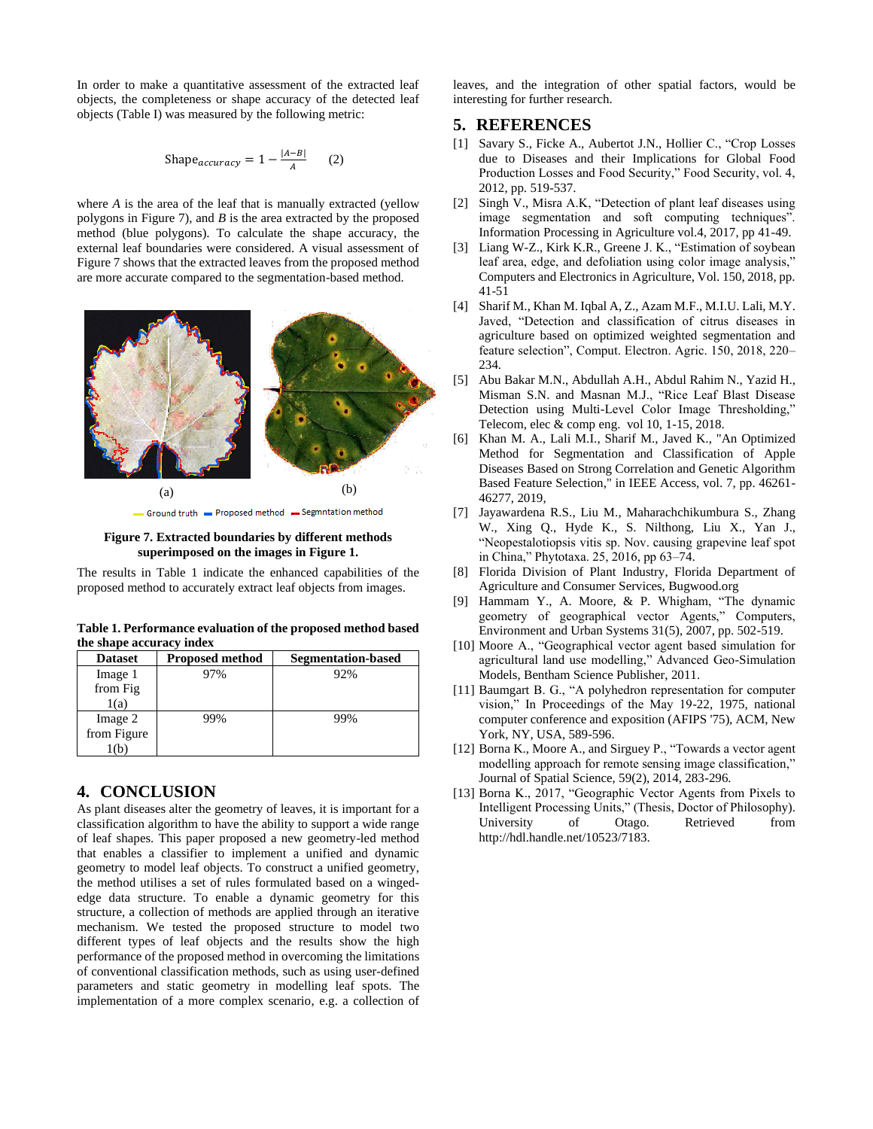In order to make a quantitative assessment of the extracted leaf objects, the completeness or shape accuracy of the detected leaf objects (Table I) was measured by the following metric:

$$
Shape_{accuracy} = 1 - \frac{|A - B|}{A} \qquad (2)
$$

where *A* is the area of the leaf that is manually extracted (yellow polygons in Figure 7), and *B* is the area extracted by the proposed method (blue polygons). To calculate the shape accuracy, the external leaf boundaries were considered. A visual assessment of Figure 7 shows that the extracted leaves from the proposed method are more accurate compared to the segmentation-based method.



- Ground truth - Proposed method - Segmntation method



The results in Table 1 indicate the enhanced capabilities of the proposed method to accurately extract leaf objects from images.

**Table 1. Performance evaluation of the proposed method based the shape accuracy index**

| <b>Dataset</b> | <b>Proposed method</b> | <b>Segmentation-based</b> |
|----------------|------------------------|---------------------------|
| Image 1        | 97%                    | 92%                       |
| from Fig       |                        |                           |
| 1(a)           |                        |                           |
| Image 2        | 99%                    | 99%                       |
| from Figure    |                        |                           |
|                |                        |                           |

### **4. CONCLUSION**

As plant diseases alter the geometry of leaves, it is important for a classification algorithm to have the ability to support a wide range of leaf shapes. This paper proposed a new geometry-led method that enables a classifier to implement a unified and dynamic geometry to model leaf objects. To construct a unified geometry, the method utilises a set of rules formulated based on a wingededge data structure. To enable a dynamic geometry for this structure, a collection of methods are applied through an iterative mechanism. We tested the proposed structure to model two different types of leaf objects and the results show the high performance of the proposed method in overcoming the limitations of conventional classification methods, such as using user-defined parameters and static geometry in modelling leaf spots. The implementation of a more complex scenario, e.g. a collection of leaves, and the integration of other spatial factors, would be interesting for further research.

# **5. REFERENCES**

- [1] Savary S., Ficke A., Aubertot J.N., Hollier C., "Crop Losses due to Diseases and their Implications for Global Food Production Losses and Food Security," Food Security, vol. 4, 2012, pp. 519-537.
- [2] Singh V., Misra A.K, "Detection of plant leaf diseases using image segmentation and soft computing techniques". Information Processing in Agriculture vol.4, 2017, pp 41-49.
- [3] Liang W-Z., Kirk K.R., Greene J. K., "Estimation of soybean leaf area, edge, and defoliation using color image analysis," Computers and Electronics in Agriculture, Vol. 150, 2018, pp. 41-51
- [4] Sharif M., Khan M. Iqbal A, Z., Azam M.F., M.I.U. Lali, M.Y. Javed, "Detection and classification of citrus diseases in agriculture based on optimized weighted segmentation and feature selection", Comput. Electron. Agric. 150, 2018, 220– 234.
- [5] Abu Bakar M.N., Abdullah A.H., Abdul Rahim N., Yazid H., Misman S.N. and Masnan M.J., "Rice Leaf Blast Disease Detection using Multi-Level Color Image Thresholding," Telecom, elec & comp eng. vol 10, 1-15, 2018.
- [6] Khan M. A., Lali M.I., Sharif M., Javed K., "An Optimized Method for Segmentation and Classification of Apple Diseases Based on Strong Correlation and Genetic Algorithm Based Feature Selection," in IEEE Access, vol. 7, pp. 46261- 46277, 2019,
- [7] Jayawardena R.S., Liu M., Maharachchikumbura S., Zhang W., Xing Q., Hyde K., S. Nilthong, Liu X., Yan J., "Neopestalotiopsis vitis sp. Nov. causing grapevine leaf spot in China," Phytotaxa. 25, 2016, pp 63–74.
- [8] Florida Division of Plant Industry, Florida Department of Agriculture and Consumer Services, Bugwood.org
- [9] Hammam Y., A. Moore, & P. Whigham, "The dynamic geometry of geographical vector Agents," Computers, Environment and Urban Systems 31(5), 2007, pp. 502-519.
- [10] Moore A., "Geographical vector agent based simulation for agricultural land use modelling," Advanced Geo-Simulation Models, Bentham Science Publisher, 2011.
- [11] Baumgart B. G., "A polyhedron representation for computer vision," In Proceedings of the May 19-22, 1975, national computer conference and exposition (AFIPS '75), ACM, New York, NY, USA, 589-596.
- [12] Borna K., Moore A., and Sirguey P., "Towards a vector agent modelling approach for remote sensing image classification," Journal of Spatial Science, 59(2), 2014, 283-296.
- [13] Borna K., 2017, "Geographic Vector Agents from Pixels to Intelligent Processing Units," (Thesis, Doctor of Philosophy). University of Otago. Retrieved from http://hdl.handle.net/10523/7183.